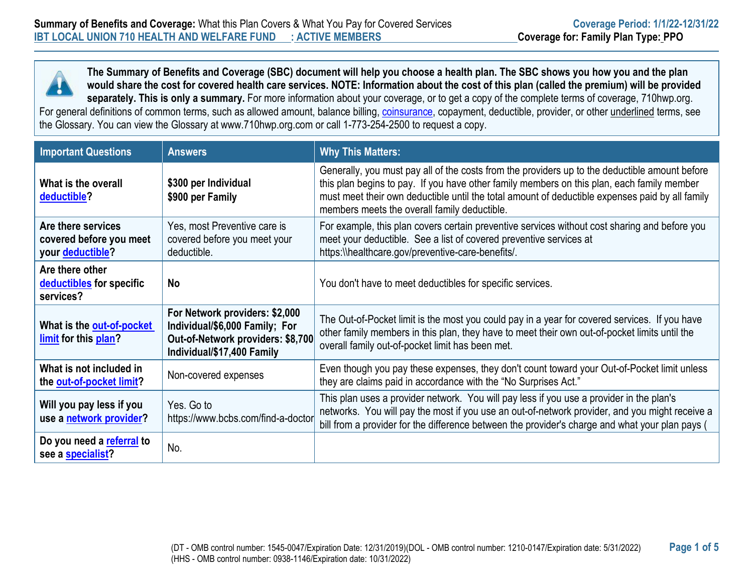**The Summary of Benefits and Coverage (SBC) document will help you choose a healt[h plan.](https://www.healthcare.gov/sbc-glossary/#plan) The SBC shows you how you and the [plan](https://www.healthcare.gov/sbc-glossary/#plan) would share the cost for covered health care services. NOTE: Information about the cost of this [plan](https://www.healthcare.gov/sbc-glossary/#plan) (called the [premium\)](https://www.healthcare.gov/sbc-glossary/#premium) will be provided separately. This is only a summary.** For more information about your coverage, or to get a copy of the complete terms of coverage, 710hwp.org. For general definitions of common terms, such a[s allowed amount,](https://www.healthcare.gov/sbc-glossary/#allowed-amount) [balance billing,](https://www.healthcare.gov/sbc-glossary/#balance-billing) [coinsurance,](https://www.healthcare.gov/sbc-glossary/#coinsurance) [copayment,](https://www.healthcare.gov/sbc-glossary/#copayment) [deductible,](https://www.healthcare.gov/sbc-glossary/#deductible) [provider,](https://www.healthcare.gov/sbc-glossary/#provider) or other underlined terms, see the Glossary. You can view the Glossary at www.710hwp.org.com or call 1-773-254-2500 to request a copy.

| <b>Important Questions</b>                                        | <b>Answers</b>                                                                                                                      | <b>Why This Matters:</b>                                                                                                                                                                                                                                                                                                                        |
|-------------------------------------------------------------------|-------------------------------------------------------------------------------------------------------------------------------------|-------------------------------------------------------------------------------------------------------------------------------------------------------------------------------------------------------------------------------------------------------------------------------------------------------------------------------------------------|
| What is the overall<br>deductible?                                | \$300 per Individual<br>\$900 per Family                                                                                            | Generally, you must pay all of the costs from the providers up to the deductible amount before<br>this plan begins to pay. If you have other family members on this plan, each family member<br>must meet their own deductible until the total amount of deductible expenses paid by all family<br>members meets the overall family deductible. |
| Are there services<br>covered before you meet<br>your deductible? | Yes, most Preventive care is<br>covered before you meet your<br>deductible.                                                         | For example, this plan covers certain preventive services without cost sharing and before you<br>meet your deductible. See a list of covered preventive services at<br>https://healthcare.gov/preventive-care-benefits/.                                                                                                                        |
| Are there other<br>deductibles for specific<br>services?          | <b>No</b>                                                                                                                           | You don't have to meet deductibles for specific services.                                                                                                                                                                                                                                                                                       |
| What is the out-of-pocket<br>limit for this plan?                 | For Network providers: \$2,000<br>Individual/\$6,000 Family; For<br>Out-of-Network providers: \$8,700<br>Individual/\$17,400 Family | The Out-of-Pocket limit is the most you could pay in a year for covered services. If you have<br>other family members in this plan, they have to meet their own out-of-pocket limits until the<br>overall family out-of-pocket limit has been met.                                                                                              |
| What is not included in<br>the out-of-pocket limit?               | Non-covered expenses                                                                                                                | Even though you pay these expenses, they don't count toward your Out-of-Pocket limit unless<br>they are claims paid in accordance with the "No Surprises Act."                                                                                                                                                                                  |
| Will you pay less if you<br>use a network provider?               | Yes. Go to<br>https://www.bcbs.com/find-a-doctor                                                                                    | This plan uses a provider network. You will pay less if you use a provider in the plan's<br>networks. You will pay the most if you use an out-of-network provider, and you might receive a<br>bill from a provider for the difference between the provider's charge and what your plan pays (                                                   |
| Do you need a referral to<br>see a specialist?                    | No.                                                                                                                                 |                                                                                                                                                                                                                                                                                                                                                 |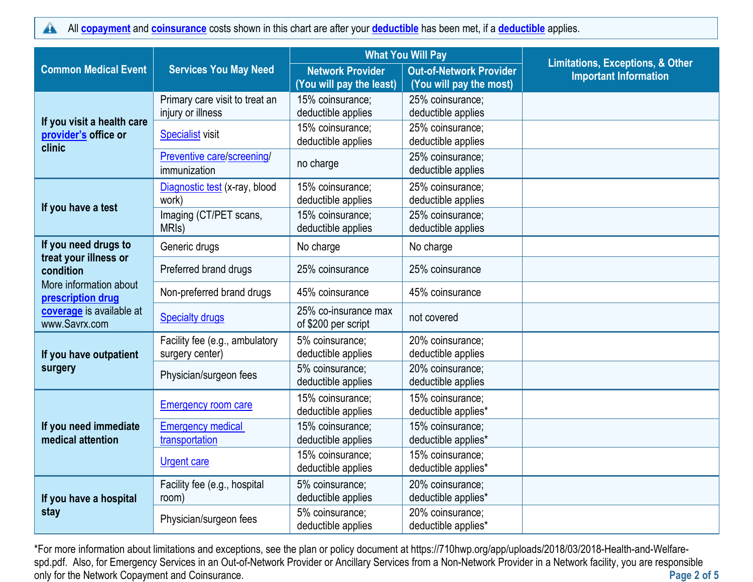All **[copayment](https://www.healthcare.gov/sbc-glossary/#copayment)** and **[coinsurance](https://www.healthcare.gov/sbc-glossary/#coinsurance)** costs shown in this chart are after your **[deductible](https://www.healthcare.gov/sbc-glossary/#deductible)** has been met, if a **[deductible](https://www.healthcare.gov/sbc-glossary/#deductible)** applies.  $\blacktriangle$ 

|                                                              |                                                     |                                                     | <b>What You Will Pay</b>                                  |                                                                             |
|--------------------------------------------------------------|-----------------------------------------------------|-----------------------------------------------------|-----------------------------------------------------------|-----------------------------------------------------------------------------|
| <b>Common Medical Event</b>                                  | <b>Services You May Need</b>                        | <b>Network Provider</b><br>(You will pay the least) | <b>Out-of-Network Provider</b><br>(You will pay the most) | <b>Limitations, Exceptions, &amp; Other</b><br><b>Important Information</b> |
| If you visit a health care<br>provider's office or<br>clinic | Primary care visit to treat an<br>injury or illness | 15% coinsurance;<br>deductible applies              | 25% coinsurance;<br>deductible applies                    |                                                                             |
|                                                              | <b>Specialist visit</b>                             | 15% coinsurance:<br>deductible applies              | 25% coinsurance:<br>deductible applies                    |                                                                             |
|                                                              | Preventive care/screening/<br>immunization          | no charge                                           | 25% coinsurance;<br>deductible applies                    |                                                                             |
|                                                              | Diagnostic test (x-ray, blood<br>work)              | 15% coinsurance;<br>deductible applies              | 25% coinsurance:<br>deductible applies                    |                                                                             |
| If you have a test                                           | Imaging (CT/PET scans,<br>MRI <sub>s</sub> )        | 15% coinsurance;<br>deductible applies              | 25% coinsurance:<br>deductible applies                    |                                                                             |
| If you need drugs to                                         | Generic drugs                                       | No charge                                           | No charge                                                 |                                                                             |
| treat your illness or<br>condition                           | Preferred brand drugs                               | 25% coinsurance                                     | 25% coinsurance                                           |                                                                             |
| More information about<br>prescription drug                  | Non-preferred brand drugs                           | 45% coinsurance                                     | 45% coinsurance                                           |                                                                             |
| coverage is available at<br>www.Savrx.com                    | <b>Specialty drugs</b>                              | 25% co-insurance max<br>of \$200 per script         | not covered                                               |                                                                             |
| If you have outpatient                                       | Facility fee (e.g., ambulatory<br>surgery center)   | 5% coinsurance;<br>deductible applies               | 20% coinsurance;<br>deductible applies                    |                                                                             |
| surgery                                                      | Physician/surgeon fees                              | 5% coinsurance;<br>deductible applies               | 20% coinsurance:<br>deductible applies                    |                                                                             |
|                                                              | <b>Emergency room care</b>                          | 15% coinsurance;<br>deductible applies              | 15% coinsurance;<br>deductible applies*                   |                                                                             |
| If you need immediate<br>medical attention                   | <b>Emergency medical</b><br>transportation          | 15% coinsurance;<br>deductible applies              | 15% coinsurance;<br>deductible applies*                   |                                                                             |
|                                                              | <b>Urgent care</b>                                  | 15% coinsurance;<br>deductible applies              | 15% coinsurance;<br>deductible applies*                   |                                                                             |
| If you have a hospital                                       | Facility fee (e.g., hospital<br>room)               | 5% coinsurance;<br>deductible applies               | 20% coinsurance:<br>deductible applies*                   |                                                                             |
| stay                                                         | Physician/surgeon fees                              | 5% coinsurance;<br>deductible applies               | 20% coinsurance:<br>deductible applies*                   |                                                                             |

\*For more information about limitations and exceptions, see the [plan](https://www.healthcare.gov/sbc-glossary/#plan) or policy document at https://710hwp.org/app/uploads/2018/03/2018-Health-and-Welfarespd.pdf. Also, for Emergency Services in an Out-of-Network Provider or Ancillary Services from a Non-Network Provider in a Network facility, you are responsible only for the Network Copayment and Coinsurance. **Page 2 of 5**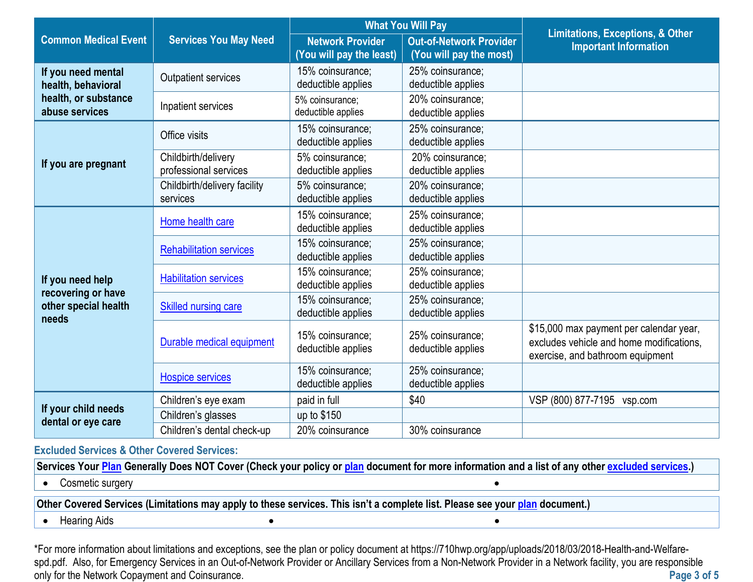|                                           | <b>What You Will Pay</b>                     |                                                     |                                                           | <b>Limitations, Exceptions, &amp; Other</b>                                                                             |
|-------------------------------------------|----------------------------------------------|-----------------------------------------------------|-----------------------------------------------------------|-------------------------------------------------------------------------------------------------------------------------|
| <b>Common Medical Event</b>               | <b>Services You May Need</b>                 | <b>Network Provider</b><br>(You will pay the least) | <b>Out-of-Network Provider</b><br>(You will pay the most) | <b>Important Information</b>                                                                                            |
| If you need mental<br>health, behavioral  | <b>Outpatient services</b>                   | 15% coinsurance;<br>deductible applies              | 25% coinsurance;<br>deductible applies                    |                                                                                                                         |
| health, or substance<br>abuse services    | Inpatient services                           | 5% coinsurance:<br>deductible applies               | 20% coinsurance:<br>deductible applies                    |                                                                                                                         |
| If you are pregnant                       | Office visits                                | 15% coinsurance;<br>deductible applies              | 25% coinsurance:<br>deductible applies                    |                                                                                                                         |
|                                           | Childbirth/delivery<br>professional services | 5% coinsurance:<br>deductible applies               | 20% coinsurance;<br>deductible applies                    |                                                                                                                         |
|                                           | Childbirth/delivery facility<br>services     | 5% coinsurance:<br>deductible applies               | 20% coinsurance:<br>deductible applies                    |                                                                                                                         |
| If you need help<br>recovering or have    | Home health care                             | 15% coinsurance:<br>deductible applies              | 25% coinsurance:<br>deductible applies                    |                                                                                                                         |
|                                           | <b>Rehabilitation services</b>               | 15% coinsurance:<br>deductible applies              | 25% coinsurance:<br>deductible applies                    |                                                                                                                         |
|                                           | <b>Habilitation services</b>                 | 15% coinsurance:<br>deductible applies              | 25% coinsurance:<br>deductible applies                    |                                                                                                                         |
| other special health<br>needs             | Skilled nursing care                         | 15% coinsurance:<br>deductible applies              | 25% coinsurance;<br>deductible applies                    |                                                                                                                         |
|                                           | Durable medical equipment                    | 15% coinsurance;<br>deductible applies              | 25% coinsurance;<br>deductible applies                    | \$15,000 max payment per calendar year,<br>excludes vehicle and home modifications,<br>exercise, and bathroom equipment |
|                                           | <b>Hospice services</b>                      | 15% coinsurance;<br>deductible applies              | 25% coinsurance;<br>deductible applies                    |                                                                                                                         |
|                                           | Children's eye exam                          | paid in full                                        | \$40                                                      | VSP (800) 877-7195<br>vsp.com                                                                                           |
| If your child needs<br>dental or eye care | Children's glasses                           | up to \$150                                         |                                                           |                                                                                                                         |
|                                           | Children's dental check-up                   | 20% coinsurance                                     | 30% coinsurance                                           |                                                                                                                         |

#### **Excluded Services & Other Covered Services:**

**Services Your [Plan](https://www.healthcare.gov/sbc-glossary/#plan) Generally Does NOT Cover (Check your policy or [plan](https://www.healthcare.gov/sbc-glossary/#plan) document for more information and a list of any other [excluded services.](https://www.healthcare.gov/sbc-glossary/#excluded-services))**

• Cosmetic surgery • **Cosmetic surgery** • **•** 

**Other Covered Services (Limitations may apply to these services. This isn't a complete list. Please see your [plan](https://www.healthcare.gov/sbc-glossary/#plan) document.)**

• Hearing Aids • •

\*For more information about limitations and exceptions, see the [plan](https://www.healthcare.gov/sbc-glossary/#plan) or policy document at https://710hwp.org/app/uploads/2018/03/2018-Health-and-Welfarespd.pdf. Also, for Emergency Services in an Out-of-Network Provider or Ancillary Services from a Non-Network Provider in a Network facility, you are responsible only for the Network Copayment and Coinsurance. **Page 3 of 5**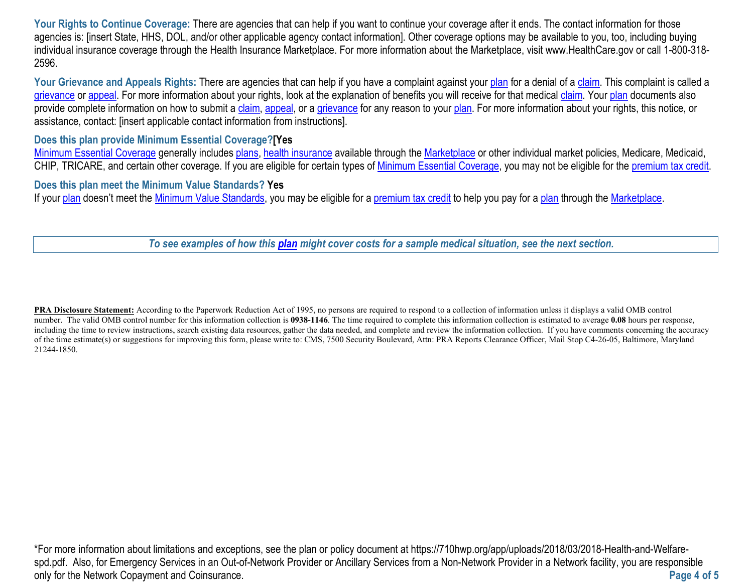Your Rights to Continue Coverage: There are agencies that can help if you want to continue your coverage after it ends. The contact information for those agencies is: [insert State, HHS, DOL, and/or other applicable agency contact information]. Other coverage options may be available to you, too, including buying individual insurance coverage through the [Health Insurance](https://www.healthcare.gov/sbc-glossary/#health-insurance) [Marketplace.](https://www.healthcare.gov/sbc-glossary/#marketplace) For more information about the [Marketplace,](https://www.healthcare.gov/sbc-glossary/#marketplace) visit www.HealthCare.gov or call 1-800-318- 2596.

Your Grievance and Appeals Rights: There are agencies that can help if you have a complaint against you[r plan](https://www.healthcare.gov/sbc-glossary/#plan) for a denial of a [claim.](https://www.healthcare.gov/sbc-glossary/#claim) This complaint is called a [grievance](https://www.healthcare.gov/sbc-glossary/#grievance) or [appeal.](https://www.healthcare.gov/sbc-glossary/#appeal) For more information about your rights, look at the explanation of benefits you will receive for that medica[l claim.](https://www.healthcare.gov/sbc-glossary/#claim) Your [plan](https://www.healthcare.gov/sbc-glossary/#plan) documents also provide complete information on how to submit a [claim,](https://www.healthcare.gov/sbc-glossary/#claim) [appeal,](https://www.healthcare.gov/sbc-glossary/#appeal) or a [grievance](https://www.healthcare.gov/sbc-glossary/#grievance) for any reason to your [plan.](https://www.healthcare.gov/sbc-glossary/#plan) For more information about your rights, this notice, or assistance, contact: [insert applicable contact information from instructions].

## **Does this plan provide Minimum Essential Coverage?[Yes**

[Minimum Essential Coverage](https://www.healthcare.gov/sbc-glossary/#minimum-essential-coverage) generally includes [plans,](https://www.healthcare.gov/sbc-glossary/#plan) [health insurance](https://www.healthcare.gov/sbc-glossary/#health-insurance) available through the [Marketplace](https://www.healthcare.gov/sbc-glossary/#marketplace) or other individual market policies, Medicare, Medicaid, CHIP, TRICARE, and certain other coverage. If you are eligible for certain types of [Minimum Essential Coverage,](https://www.healthcare.gov/sbc-glossary/#minimum-essential-coverage) you may not be eligible for the [premium tax credit.](https://www.healthcare.gov/sbc-glossary/#premium-tax-credits)

### **Does this plan meet the Minimum Value Standards? Yes**

If your [plan](https://www.healthcare.gov/sbc-glossary/#plan) doesn't meet the [Minimum Value Standards,](https://www.healthcare.gov/sbc-glossary/#minimum-value-standard) you may be eligible for a [premium tax credit](https://www.healthcare.gov/sbc-glossary/#premium-tax-credits) to help you pay for a plan through the [Marketplace.](https://www.healthcare.gov/sbc-glossary/#marketplace)

*To see examples of how this [plan](https://www.healthcare.gov/sbc-glossary/#plan) might cover costs for a sample medical situation, see the next section.*

PRA Disclosure Statement: According to the Paperwork Reduction Act of 1995, no persons are required to respond to a collection of information unless it displays a valid OMB control number. The valid OMB control number for this information collection is **0938-1146**. The time required to complete this information collection is estimated to average **0.08** hours per response, including the time to review instructions, search existing data resources, gather the data needed, and complete and review the information collection. If you have comments concerning the accuracy of the time estimate(s) or suggestions for improving this form, please write to: CMS, 7500 Security Boulevard, Attn: PRA Reports Clearance Officer, Mail Stop C4-26-05, Baltimore, Maryland 21244-1850.

\*For more information about limitations and exceptions, see the [plan](https://www.healthcare.gov/sbc-glossary/#plan) or policy document at https://710hwp.org/app/uploads/2018/03/2018-Health-and-Welfarespd.pdf. Also, for Emergency Services in an Out-of-Network Provider or Ancillary Services from a Non-Network Provider in a Network facility, you are responsible only for the Network Copayment and Coinsurance. **Page 4 of 5**